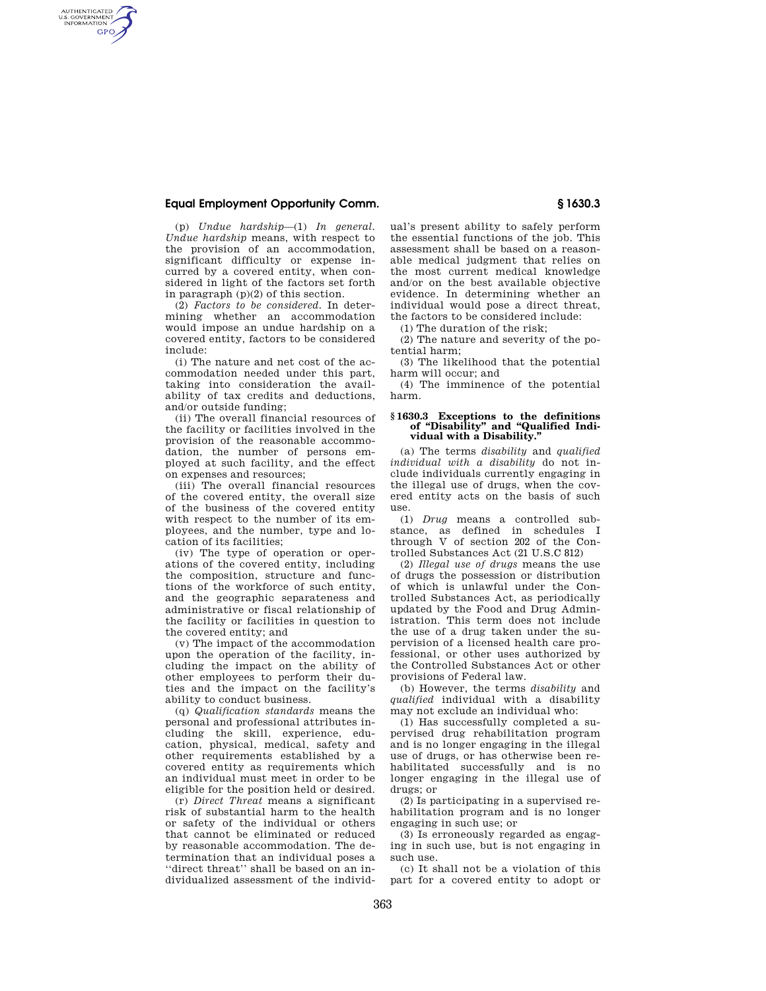# **Equal Employment Opportunity Comm. § 1630.3**

AUTHENTICATED<br>U.S. GOVERNMENT<br>INFORMATION **GPO** 

> (p) *Undue hardship*—(1) *In general. Undue hardship* means, with respect to the provision of an accommodation, significant difficulty or expense incurred by a covered entity, when considered in light of the factors set forth in paragraph (p)(2) of this section.

> (2) *Factors to be considered.* In determining whether an accommodation would impose an undue hardship on a covered entity, factors to be considered include:

> (i) The nature and net cost of the accommodation needed under this part, taking into consideration the availability of tax credits and deductions, and/or outside funding;

> (ii) The overall financial resources of the facility or facilities involved in the provision of the reasonable accommodation, the number of persons employed at such facility, and the effect on expenses and resources;

> (iii) The overall financial resources of the covered entity, the overall size of the business of the covered entity with respect to the number of its employees, and the number, type and location of its facilities;

> (iv) The type of operation or operations of the covered entity, including the composition, structure and functions of the workforce of such entity, and the geographic separateness and administrative or fiscal relationship of the facility or facilities in question to the covered entity; and

> (v) The impact of the accommodation upon the operation of the facility, including the impact on the ability of other employees to perform their duties and the impact on the facility's ability to conduct business.

> (q) *Qualification standards* means the personal and professional attributes including the skill, experience, education, physical, medical, safety and other requirements established by a covered entity as requirements which an individual must meet in order to be eligible for the position held or desired.

> (r) *Direct Threat* means a significant risk of substantial harm to the health or safety of the individual or others that cannot be eliminated or reduced by reasonable accommodation. The determination that an individual poses a ''direct threat'' shall be based on an individualized assessment of the individ-

ual's present ability to safely perform the essential functions of the job. This assessment shall be based on a reasonable medical judgment that relies on the most current medical knowledge and/or on the best available objective evidence. In determining whether an individual would pose a direct threat, the factors to be considered include:

(1) The duration of the risk;

(2) The nature and severity of the potential harm;

(3) The likelihood that the potential harm will occur; and

(4) The imminence of the potential harm.

#### **§ 1630.3 Exceptions to the definitions of ''Disability'' and ''Qualified Individual with a Disability.''**

(a) The terms *disability* and *qualified individual with a disability* do not include individuals currently engaging in the illegal use of drugs, when the covered entity acts on the basis of such use.

(1) *Drug* means a controlled substance, as defined in schedules I through V of section 202 of the Controlled Substances Act (21 U.S.C 812)

(2) *Illegal use of drugs* means the use of drugs the possession or distribution of which is unlawful under the Controlled Substances Act, as periodically updated by the Food and Drug Administration. This term does not include the use of a drug taken under the supervision of a licensed health care professional, or other uses authorized by the Controlled Substances Act or other provisions of Federal law.

(b) However, the terms *disability* and *qualified* individual with a disability may not exclude an individual who:

(1) Has successfully completed a supervised drug rehabilitation program and is no longer engaging in the illegal use of drugs, or has otherwise been rehabilitated successfully and is no longer engaging in the illegal use of drugs; or

(2) Is participating in a supervised rehabilitation program and is no longer engaging in such use; or

(3) Is erroneously regarded as engaging in such use, but is not engaging in such use.

(c) It shall not be a violation of this part for a covered entity to adopt or